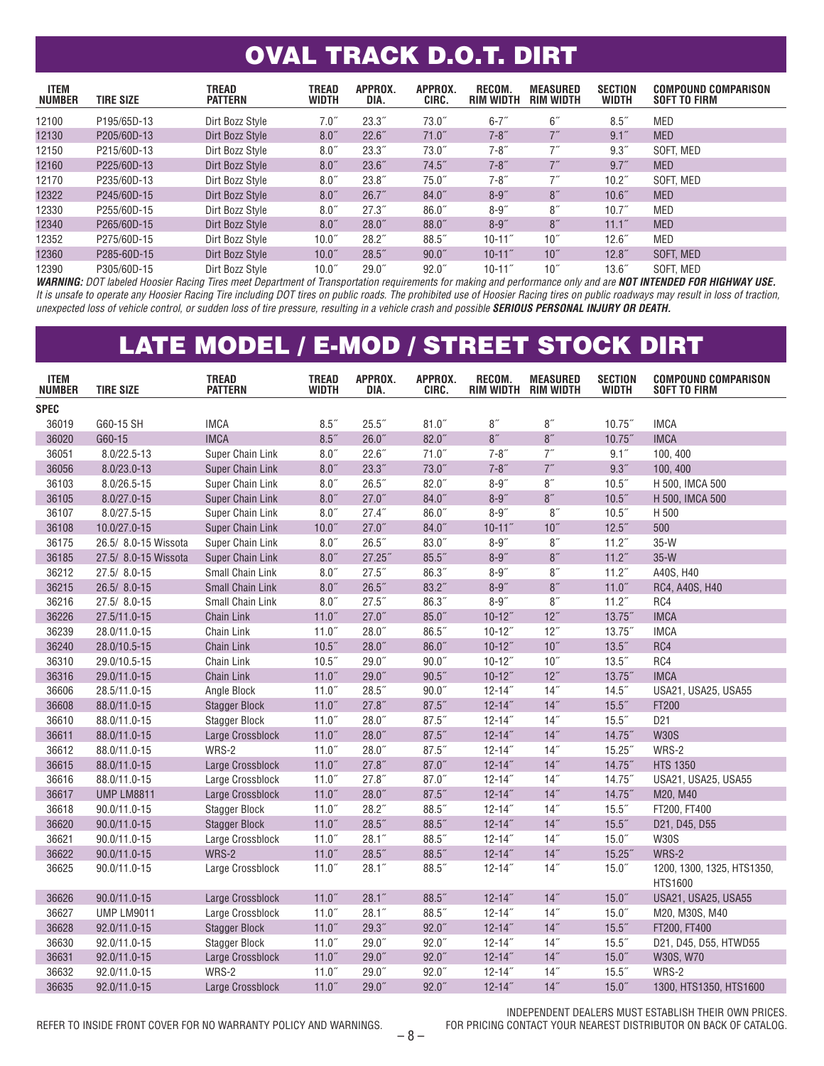### OVAL TRACK D.O.T. DIRT

| <b>ITEM</b><br><b>NUMBER</b> | <b>TIRE SIZE</b> | <b>TREAD</b><br><b>PATTERN</b> | <b>TREAD</b><br><b>WIDTH</b> | APPROX.<br>DIA. | APPROX.<br>CIRC. | RECOM.<br><b>RIM WIDTH</b> | <b>MEASURED</b><br>RIM WIDTH | <b>SECTION</b><br><b>WIDTH</b> | <b>COMPOUND COMPARISON</b><br><b>SOFT TO FIRM</b> |
|------------------------------|------------------|--------------------------------|------------------------------|-----------------|------------------|----------------------------|------------------------------|--------------------------------|---------------------------------------------------|
| 12100                        | P195/65D-13      | Dirt Bozz Style                | 7.0''                        | 23.3"           | $73.0^{''}$      | $6 - 7"$                   | 6 <sup>''</sup>              | 8.5''                          | <b>MED</b>                                        |
| 12130                        | P205/60D-13      | Dirt Bozz Style                | $8.0$ "                      | 22.6"           | 71.0''           | $7 - 8"$                   |                              | 9.1''                          | <b>MED</b>                                        |
| 12150                        | P215/60D-13      | Dirt Bozz Style                | 8.0''                        | 23.3"           | $73.0^{''}$      | $7 - 8"$                   | 7"                           | 9.3''                          | SOFT. MED                                         |
| 12160                        | P225/60D-13      | Dirt Bozz Style                | 8.0 <sup>''</sup>            | 23.6''          | 74.5''           | $7 - 8"$                   | 7''                          | 9.7''                          | <b>MED</b>                                        |
| 12170                        | P235/60D-13      | Dirt Bozz Style                | 8.0 <sup>th</sup>            | $23.8^{''}$     | 75.0"            | $7 - 8"$                   | 7"                           | 10.2 <sup>7</sup>              | SOFT. MED                                         |
| 12322                        | P245/60D-15      | Dirt Bozz Style                | 8.0''                        | 26.7"           | $84.0$ "         | $8 - 9$ "                  | 8''                          | 10.6"                          | <b>MED</b>                                        |
| 12330                        | P255/60D-15      | Dirt Bozz Style                | 8.0''                        | 27.3"           | 86.0"            | $8 - 9$ "                  | 8''                          | 10.7"                          | <b>MED</b>                                        |
| 12340                        | P265/60D-15      | Dirt Bozz Style                | 8.0''                        | $28.0$ "        | $88.0^{''}$      | $8 - 9$ "                  | 8''                          | 11.1 <sup>''</sup>             | <b>MED</b>                                        |
| 12352                        | P275/60D-15      | Dirt Bozz Style                | 10.0 <sup>''</sup>           | 28.2"           | 88.5"            | $10 - 11$ "                | 10 <sup>''</sup>             | 12.6"                          | MED                                               |
| 12360                        | P285-60D-15      | Dirt Bozz Style                | 10.0 <sup>''</sup>           | $28.5$ "        | $90.0$ "         | $10 - 11$ "                | 10 <sup>''</sup>             | 12.8''                         | SOFT. MED                                         |
| 12390                        | P305/60D-15      | Dirt Bozz Style                | 10.0 <sup>''</sup>           | $29.0$ "        | $92.0$ "         | $10 - 11$ "                | 10 <sup>''</sup>             | 13.6 <sup>''</sup>             | SOFT, MED                                         |

*WARNING: DOT labeled Hoosier Racing Tires meet Department of Transportation requirements for making and performance only and are NOT INTENDED FOR HIGHWAY USE. It is unsafe to operate any Hoosier Racing Tire including DOT tires on public roads. The prohibited use of Hoosier Racing tires on public roadways may result in loss of traction,*  unexpected loss of vehicle control, or sudden loss of tire pressure, resulting in a vehicle crash and possible **SERIOUS PERSONAL INJURY OR DEATH.** 

#### LATE MODEL / E-MOD / STREET STOCK DIRT

| <b>ITEM</b><br><b>NUMBER</b> | <b>TIRE SIZE</b>     | <b>TREAD</b><br><b>PATTERN</b> | <b>TREAD</b><br><b>WIDTH</b> | APPROX.<br>DIA. | APPROX.<br>CIRC. | RECOM.<br>RIM WIDTH RIM WIDTH | <b>MEASURED</b>  | <b>SECTION</b><br><b>WIDTH</b> | <b>COMPOUND COMPARISON</b><br><b>SOFT TO FIRM</b> |
|------------------------------|----------------------|--------------------------------|------------------------------|-----------------|------------------|-------------------------------|------------------|--------------------------------|---------------------------------------------------|
| <b>SPEC</b>                  |                      |                                |                              |                 |                  |                               |                  |                                |                                                   |
| 36019                        | G60-15 SH            | <b>IMCA</b>                    | 8.5''                        | 25.5"           | 81.0''           | 8''                           | $8''$            | $10.75$ "                      | <b>IMCA</b>                                       |
| 36020                        | G60-15               | <b>IMCA</b>                    | $8.5$ "                      | 26.0"           | $82.0$ "         | 8''                           | 8''              | $10.75$ "                      | <b>IMCA</b>                                       |
| 36051                        | $8.0/22.5 - 13$      | Super Chain Link               | $8.0$ $\!$                   | 22.6''          | 71.0"            | $7 - 8$ "                     | 7''              | $9.1$ "                        | 100, 400                                          |
| 36056                        | 8.0/23.0-13          | Super Chain Link               | $8.0\ensuremath{''}$         | 23.3''          | 73.0''           | $7 - 8"$                      | 7''              | $9.3$ $\,$                     | 100, 400                                          |
| 36103                        | 8.0/26.5-15          | Super Chain Link               | $8.0\ensuremath{''}$         | 26.5''          | 82.0''           | $8-9^{\prime\prime}$          | 8''              | 10.5"                          | H 500, IMCA 500                                   |
| 36105                        | $8.0/27.0 - 15$      | Super Chain Link               | $8.0\ensuremath{''}$         | 27.0"           | 84.0''           | $8 - 9''$                     | 8''              | 10.5''                         | H 500, IMCA 500                                   |
| 36107                        | $8.0/27.5 - 15$      | Super Chain Link               | $8.0$ $\!$                   | 27.4"           | 86.0"            | $8 - 9''$                     | 8''              | 10.5"                          | H 500                                             |
| 36108                        | 10.0/27.0-15         | Super Chain Link               | 10.0"                        | 27.0"           | 84.0''           | $10 - 11$ "                   | 10 <sup>''</sup> | 12.5''                         | 500                                               |
| 36175                        | 26.5/ 8.0-15 Wissota | Super Chain Link               | $8.0$ $\,$                   | 26.5"           | $83.0$ "         | $8 - 9''$                     | 8''              | 11.2 <sup>7</sup>              | $35-W$                                            |
| 36185                        | 27.5/ 8.0-15 Wissota | Super Chain Link               | 8.0''                        | 27.25''         | 85.5''           | $8 - 9"$                      | 8''              | 11.2''                         | $35-W$                                            |
| 36212                        | 27.5/8.0-15          | Small Chain Link               | $8.0\ensuremath{''}$         | $27.5$ "        | 86.3''           | $8 - 9''$                     | 8''              | 11.2 <sup>7</sup>              | A40S. H40                                         |
| 36215                        | 26.5/8.0-15          | Small Chain Link               | $8.0\ensuremath{''}$         | 26.5''          | 83.2''           | $8 - 9"$                      | 8''              | 11.0''                         | RC4, A40S, H40                                    |
| 36216                        | 27.5/8.0-15          | Small Chain Link               | 8.0''                        | 27.5''          | 86.3"            | $8 - 9"$                      | 8''              | 11.2''                         | RC4                                               |
| 36226                        | 27.5/11.0-15         | <b>Chain Link</b>              | 11.0''                       | 27.0"           | 85.0"            | $10 - 12$ "                   | 12"              | 13.75"                         | <b>IMCA</b>                                       |
| 36239                        | 28.0/11.0-15         | Chain Link                     | 11.0"                        | $28.0$ "        | 86.5"            | $10 - 12$ "                   | 12"              | $13.75$ "                      | <b>IMCA</b>                                       |
| 36240                        | 28.0/10.5-15         | <b>Chain Link</b>              | 10.5"                        | $28.0$ "        | 86.0"            | $10 - 12$ "                   | 10 <sup>''</sup> | 13.5''                         | RC4                                               |
| 36310                        | 29.0/10.5-15         | Chain Link                     | 10.5''                       | $29.0$ "        | 90.0"            | $10 - 12$ "                   | 10''             | 13.5''                         | RC4                                               |
| 36316                        | 29.0/11.0-15         | <b>Chain Link</b>              | 11.0''                       | 29.0"           | 90.5"            | $10-12"$                      | 12"              | 13.75''                        | <b>IMCA</b>                                       |
| 36606                        | 28.5/11.0-15         | Angle Block                    | 11.0''                       | $28.5$ "        | 90.0"            | $12 - 14$ "                   | $14$ "           | 14.5''                         | USA21, USA25, USA55                               |
| 36608                        | 88.0/11.0-15         | <b>Stagger Block</b>           | 11.0''                       | 27.8''          | 87.5''           | $12 - 14$ "                   | 14"              | 15.5''                         | FT200                                             |
| 36610                        | 88.0/11.0-15         | <b>Stagger Block</b>           | 11.0 <sup>''</sup>           | $28.0$ "        | 87.5''           | $12 - 14$ "                   | 14"              | $15.5$ "                       | D <sub>21</sub>                                   |
| 36611                        | 88.0/11.0-15         | Large Crossblock               | 11.0"                        | $28.0$ "        | 87.5''           | $12 - 14$ "                   | 14"              | 14.75''                        | <b>W30S</b>                                       |
| 36612                        | 88.0/11.0-15         | WRS-2                          | 11.0''                       | $28.0$ "        | 87.5''           | $12 - 14$ "                   | 14"              | 15.25''                        | WRS-2                                             |
| 36615                        | 88.0/11.0-15         | Large Crossblock               | 11.0''                       | 27.8''          | 87.0''           | $12 - 14$ "                   | 14"              | $14.75$ "                      | <b>HTS 1350</b>                                   |
| 36616                        | 88.0/11.0-15         | Large Crossblock               | 11.0''                       | 27.8''          | $87.0$ "         | $12 - 14$ "                   | 14"              | 14.75"                         | USA21, USA25, USA55                               |
| 36617                        | <b>UMP LM8811</b>    | Large Crossblock               | 11.0''                       | $28.0$ "        | 87.5''           | $12 - 14$ "                   | 14"              | 14.75"                         | M20, M40                                          |
| 36618                        | 90.0/11.0-15         | <b>Stagger Block</b>           | 11.0"                        | 28.2"           | 88.5"            | $12 - 14$ "                   | 14"              | $15.5$ "                       | FT200, FT400                                      |
| 36620                        | 90.0/11.0-15         | <b>Stagger Block</b>           | 11.0''                       | 28.5''          | 88.5"            | $12 - 14$ "                   | 14"              | 15.5''                         | D21, D45, D55                                     |
| 36621                        | 90.0/11.0-15         | Large Crossblock               | 11.0''                       | 28.1''          | 88.5"            | $12 - 14"$                    | 14"              | $15.0$ "                       | <b>W30S</b>                                       |
| 36622                        | 90.0/11.0-15         | WRS-2                          | 11.0"                        | 28.5''          | 88.5"            | $12 - 14$ "                   | 14"              | $15.25$ "                      | WRS-2                                             |
| 36625                        | 90.0/11.0-15         | Large Crossblock               | 11.0 <sup>''</sup>           | $28.1$ "        | $88.5^{''}$      | $12 - 14$ "                   | 14"              | $15.0$ "                       | 1200, 1300, 1325, HTS1350,<br><b>HTS1600</b>      |
| 36626                        | 90.0/11.0-15         | Large Crossblock               | 11.0"                        | 28.1''          | 88.5"            | $12 - 14$ "                   | 14"              | 15.0''                         | USA21, USA25, USA55                               |
| 36627                        | <b>UMP LM9011</b>    | Large Crossblock               | 11.0''                       | 28.1"           | 88.5"            | $12 - 14"$                    | 14"              | $15.0^{''}$                    | M20, M30S, M40                                    |
| 36628                        | 92.0/11.0-15         | <b>Stagger Block</b>           | 11.0''                       | 29.3''          | $92.0$ "         | $12 - 14$ "                   | 14"              | 15.5''                         | FT200, FT400                                      |
| 36630                        | 92.0/11.0-15         | <b>Stagger Block</b>           | 11.0''                       | $29.0$ "        | $92.0$ "         | $12 - 14$ "                   | 14"              | $15.5^{''}$                    | D21, D45, D55, HTWD55                             |
| 36631                        | 92.0/11.0-15         | Large Crossblock               | 11.0''                       | 29.0"           | $92.0$ "         | $12 - 14$ "                   | 14"              | 15.0''                         | W30S, W70                                         |
| 36632                        | 92.0/11.0-15         | WRS-2                          | 11.0''                       | $29.0$ "        | $92.0$ "         | $12 - 14"$                    | 14"              | $15.5$ "                       | WRS-2                                             |
| 36635                        | 92.0/11.0-15         | Large Crossblock               | 11.0''                       | 29.0"           | $92.0$ "         | $12 - 14$ "                   | 14"              | 15.0''                         | 1300, HTS1350, HTS1600                            |

REFER TO INSIDE FRONT COVER FOR NO WARRANTY POLICY AND WARNINGS.

INDEPENDENT DEALERS MUST ESTABLISH THEIR OWN PRICES.<br>FOR PRICING CONTACT YOUR NEAREST DISTRIBUTOR ON BACK OF CATALOG.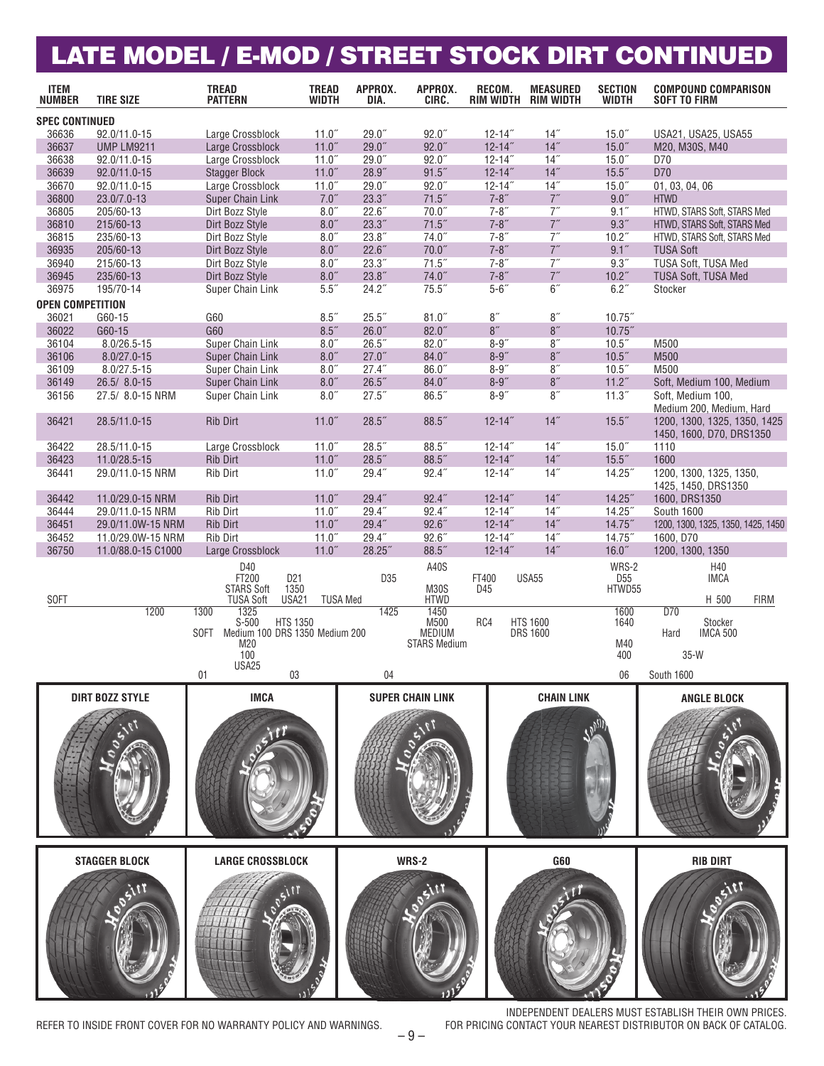### LATE MODEL / E-MOD / STREET STOCK DIRT CONTINUED

| <b>ITEM</b><br><b>NUMBER</b> | <b>TIRE SIZE</b>                      | <b>TREAD</b><br><b>PATTERN</b>              | <b>TREAD</b><br><b>WIDTH</b>   | APPROX.<br>DIA.         | APPROX.<br>CIRC.        | RECOM.                     | <b>MEASURED</b><br>RIM WIDTH RIM WIDTH | <b>SECTION</b><br><b>WIDTH</b> | <b>COMPOUND COMPARISON</b><br><b>SOFT TO FIRM</b>        |
|------------------------------|---------------------------------------|---------------------------------------------|--------------------------------|-------------------------|-------------------------|----------------------------|----------------------------------------|--------------------------------|----------------------------------------------------------|
| <b>SPEC CONTINUED</b>        |                                       |                                             |                                |                         |                         |                            |                                        |                                |                                                          |
| 36636                        | 92.0/11.0-15                          | Large Crossblock                            | $11.0$ "                       | 29.0"                   | $92.0$ "                | $12 - 14$ "                | 14"                                    | $15.0^{''}$                    | USA21, USA25, USA55                                      |
| 36637                        | <b>UMP LM9211</b>                     | Large Crossblock                            | 11.0"                          | 29.0"                   | $92.0$ "                | $12 - 14$ "                | 14"                                    | 15.0''                         | M20, M30S, M40                                           |
| 36638                        | 92.0/11.0-15                          | Large Crossblock                            | $11.0$ "                       | $29.0$ "                | $92.0$ "                | $12 - 14$ "                | 14"                                    | $15.0^{''}$                    | D70                                                      |
| 36639<br>36670               | 92.0/11.0-15<br>92.0/11.0-15          | <b>Stagger Block</b>                        | 11.0"<br>$11.0$ "              | 28.9''<br>29.0"         | 91.5"<br>$92.0$ "       | $12 - 14$ "<br>$12 - 14$ " | 14"<br>14"                             | 15.5''<br>$15.0$ "             | D70                                                      |
| 36800                        | 23.0/7.0-13                           | Large Crossblock<br><b>Super Chain Link</b> | 7.0"                           | 23.3''                  | 71.5''                  | $7 - 8"$                   | $7^{\prime\prime}$                     | 9.0"                           | 01, 03, 04, 06<br><b>HTWD</b>                            |
| 36805                        | 205/60-13                             | Dirt Bozz Style                             | 8.0''                          | 22.6"                   | 70.0"                   | $7 - 8"$                   | 7''                                    | 9.1''                          | HTWD, STARS Soft, STARS Med                              |
| 36810                        | 215/60-13                             | Dirt Bozz Style                             | 8.0''                          | 23.3''                  | 71.5''                  | $7 - 8"$                   | 7''                                    | 9.3''                          | HTWD, STARS Soft, STARS Med                              |
| 36815                        | 235/60-13                             | Dirt Bozz Style                             | 8.0''                          | 23.8''                  | 74.0"                   | $7 - 8''$                  | 7''                                    | 10.2 <sup>''</sup>             | HTWD, STARS Soft, STARS Med                              |
| 36935                        | 205/60-13                             | Dirt Bozz Style                             | 8.0''                          | 22.6"                   | 70.0"                   | $7 - 8''$                  | 7''                                    | 9.1''                          | <b>TUSA Soft</b>                                         |
| 36940                        | 215/60-13                             | Dirt Bozz Style                             | $8.0^{''}$                     | 23.3''                  | 71.5''                  | $7 - 8''$                  | 7''                                    | 9.3''                          | TUSA Soft, TUSA Med                                      |
| 36945                        | 235/60-13                             | Dirt Bozz Style                             | 8.0''                          | 23.8''                  | 74.0''                  | $7 - 8"$                   | 7''                                    | 10.2"                          | TUSA Soft, TUSA Med                                      |
| 36975                        | 195/70-14                             | Super Chain Link                            | $5.5$ $\,$                     | 24.2"                   | 75.5''                  | $5 - 6$ "                  | 6 <sup>th</sup>                        | 6.2''                          | Stocker                                                  |
| <b>OPEN COMPETITION</b>      |                                       |                                             |                                |                         |                         |                            |                                        |                                |                                                          |
| 36021                        | G60-15                                | G60                                         | $8.5$ "                        | $25.5$ "                | 81.0''                  | 8''                        | 8''                                    | $10.75$ "                      |                                                          |
| 36022                        | G60-15                                | G60                                         | 8.5''                          | 26.0"                   | $82.0$ "                | 8''                        | 8''                                    | $10.75$ "                      |                                                          |
| 36104                        | $8.0/26.5 - 15$                       | Super Chain Link                            | 8.0''                          | 26.5"                   | $82.0$ "                | $8 - 9$ "                  | 8''                                    | 10.5"                          | M500                                                     |
| 36106                        | $8.0/27.0 - 15$                       | <b>Super Chain Link</b>                     | $8.0$ "                        | 27.0"                   | 84.0''                  | $8 - 9"$                   | 8''                                    | 10.5"                          | M500                                                     |
| 36109                        | $8.0/27.5 - 15$                       | Super Chain Link                            | 8.0''                          | 27.4"                   | 86.0"                   | $8 - 9''$                  | 8''                                    | 10.5"                          | M500                                                     |
| 36149                        | 26.5/8.0-15                           | <b>Super Chain Link</b>                     | $8.0\ensuremath{''}$           | 26.5''                  | 84.0''                  | $8 - 9"$                   | $8''$<br>8''                           | 11.2''                         | Soft, Medium 100, Medium                                 |
| 36156                        | 27.5/ 8.0-15 NRM                      | Super Chain Link                            | $8.0^{''}$                     | 27.5"                   | 86.5"                   | $8 - 9''$                  |                                        | 11.3"                          | Soft, Medium 100,<br>Medium 200, Medium, Hard            |
| 36421                        | 28.5/11.0-15                          | Rib Dirt                                    | 11.0''                         | 28.5''                  | 88.5''                  | $12 - 14$ "                | 14"                                    | $15.5$ "                       | 1200, 1300, 1325, 1350, 1425<br>1450, 1600, D70, DRS1350 |
| 36422                        | 28.5/11.0-15                          | Large Crossblock                            | $11.0$ "                       | $28.5$ "                | 88.5"                   | $12 - 14$ "                | 14"                                    | 15.0''                         | 1110                                                     |
| 36423                        | 11.0/28.5-15                          | <b>Rib Dirt</b>                             | $11.0$ "                       | $28.5$ "                | 88.5"                   | $12 - 14$ "                | 14"                                    | $15.5$ "                       | 1600                                                     |
| 36441                        | 29.0/11.0-15 NRM                      | Rib Dirt                                    | $11.0$ "                       | 29.4"                   | $92.4$ "                | $12 - 14$ "                | 14"                                    | 14.25"                         | 1200, 1300, 1325, 1350,                                  |
|                              |                                       |                                             |                                |                         |                         |                            |                                        |                                | 1425, 1450, DRS1350                                      |
| 36442                        | 11.0/29.0-15 NRM                      | Rib Dirt                                    | 11.0''                         | 29.4"                   | 92.4''                  | $12 - 14$ "                | 14"<br>14"                             | 14.25''                        | 1600, DRS1350                                            |
| 36444<br>36451               | 29.0/11.0-15 NRM<br>29.0/11.0W-15 NRM | Rib Dirt<br><b>Rib Dirt</b>                 | 11.0 <sup>''</sup><br>$11.0$ " | 29.4''<br>29.4"         | 92.4"<br>92.6"          | $12 - 14$ "<br>$12 - 14$ " | 14"                                    | 14.25''<br>$14.75$ "           | South 1600<br>1200, 1300, 1325, 1350, 1425, 1450         |
| 36452                        | 11.0/29.0W-15 NRM                     | Rib Dirt                                    | 11.0''                         | 29.4"                   | $92.6$ "                | $12 - 14$ "                | 14"                                    | 14.75"                         | 1600, D70                                                |
| 36750                        | 11.0/88.0-15 C1000                    | Large Crossblock                            | 11.0''                         | 28.25"                  | 88.5"                   | $12 - 14$ "                | 14"                                    | 16.0''                         | 1200, 1300, 1350                                         |
|                              |                                       | D40                                         |                                |                         | A40S                    |                            |                                        | WRS-2                          | H40                                                      |
|                              |                                       | FT200<br>D <sub>21</sub>                    |                                | D35                     |                         | FT400                      | <b>USA55</b>                           | D <sub>55</sub>                | <b>IMCA</b>                                              |
|                              |                                       | <b>STARS Soft</b><br>1350                   |                                |                         | <b>M30S</b>             | D45                        |                                        | HTWD55                         |                                                          |
| <b>SOFT</b>                  | 1200                                  | <b>TUSA Soft</b><br>USA21<br>1300<br>1325   |                                | <b>TUSA Med</b><br>1425 | <b>HTWD</b><br>1450     |                            |                                        | 1600                           | H 500<br><b>FIRM</b><br>D70                              |
|                              |                                       | $S-500$<br><b>HTS 1350</b>                  |                                |                         | M500                    | RC4                        | <b>HTS 1600</b>                        | 1640                           | Stocker                                                  |
|                              |                                       | Medium 100 DRS 1350 Medium 200<br>SOFT      |                                |                         | <b>MEDIUM</b>           |                            | <b>DRS 1600</b>                        |                                | Hard<br><b>IMCA 500</b>                                  |
|                              |                                       | M20<br>100                                  |                                |                         | <b>STARS Medium</b>     |                            |                                        | M40                            | $35-W$                                                   |
|                              |                                       | USA25                                       |                                |                         |                         |                            |                                        | 400                            |                                                          |
|                              |                                       | 01<br>03                                    |                                | 04                      |                         |                            |                                        | 06                             | <b>South 1600</b>                                        |
|                              | <b>DIRT BOZZ STYLE</b>                | <b>IMCA</b>                                 |                                |                         | <b>SUPER CHAIN LINK</b> |                            | <b>CHAIN LINK</b>                      |                                | <b>ANGLE BLOCK</b>                                       |
|                              |                                       |                                             |                                |                         |                         |                            |                                        |                                |                                                          |
|                              |                                       |                                             |                                |                         |                         |                            |                                        |                                |                                                          |
|                              |                                       |                                             |                                |                         |                         |                            |                                        |                                |                                                          |
|                              |                                       |                                             |                                |                         |                         |                            |                                        |                                |                                                          |
|                              |                                       |                                             |                                |                         |                         |                            |                                        |                                |                                                          |
|                              |                                       |                                             |                                |                         |                         |                            |                                        |                                |                                                          |
|                              |                                       |                                             |                                |                         |                         |                            |                                        |                                |                                                          |
|                              |                                       |                                             |                                |                         |                         |                            |                                        |                                |                                                          |
|                              |                                       |                                             |                                |                         |                         |                            |                                        |                                |                                                          |
|                              |                                       |                                             |                                |                         |                         |                            |                                        |                                |                                                          |
|                              |                                       |                                             |                                |                         |                         |                            |                                        |                                |                                                          |
|                              | <b>STAGGER BLOCK</b>                  | <b>LARGE CROSSBLOCK</b>                     |                                |                         | <b>WRS-2</b>            |                            | G60                                    |                                | <b>RIB DIRT</b>                                          |
|                              |                                       |                                             |                                |                         |                         |                            |                                        |                                |                                                          |
|                              |                                       |                                             |                                |                         |                         |                            |                                        |                                |                                                          |
|                              |                                       |                                             |                                |                         |                         |                            |                                        |                                |                                                          |
|                              |                                       |                                             |                                |                         |                         |                            |                                        |                                |                                                          |
|                              |                                       |                                             |                                |                         |                         |                            |                                        |                                |                                                          |
|                              |                                       |                                             |                                |                         |                         |                            |                                        |                                |                                                          |
|                              |                                       |                                             |                                |                         |                         |                            |                                        |                                |                                                          |
|                              |                                       |                                             |                                |                         |                         |                            |                                        |                                |                                                          |
|                              |                                       |                                             |                                |                         |                         |                            |                                        |                                |                                                          |

REFER TO INSIDE FRONT COVER FOR NO WARRANTY POLICY AND WARNINGS.

INDEPENDENT DEALERS MUST ESTABLISH THEIR OWN PRICES.<br>FOR PRICING CONTACT YOUR NEAREST DISTRIBUTOR ON BACK OF CATALOG.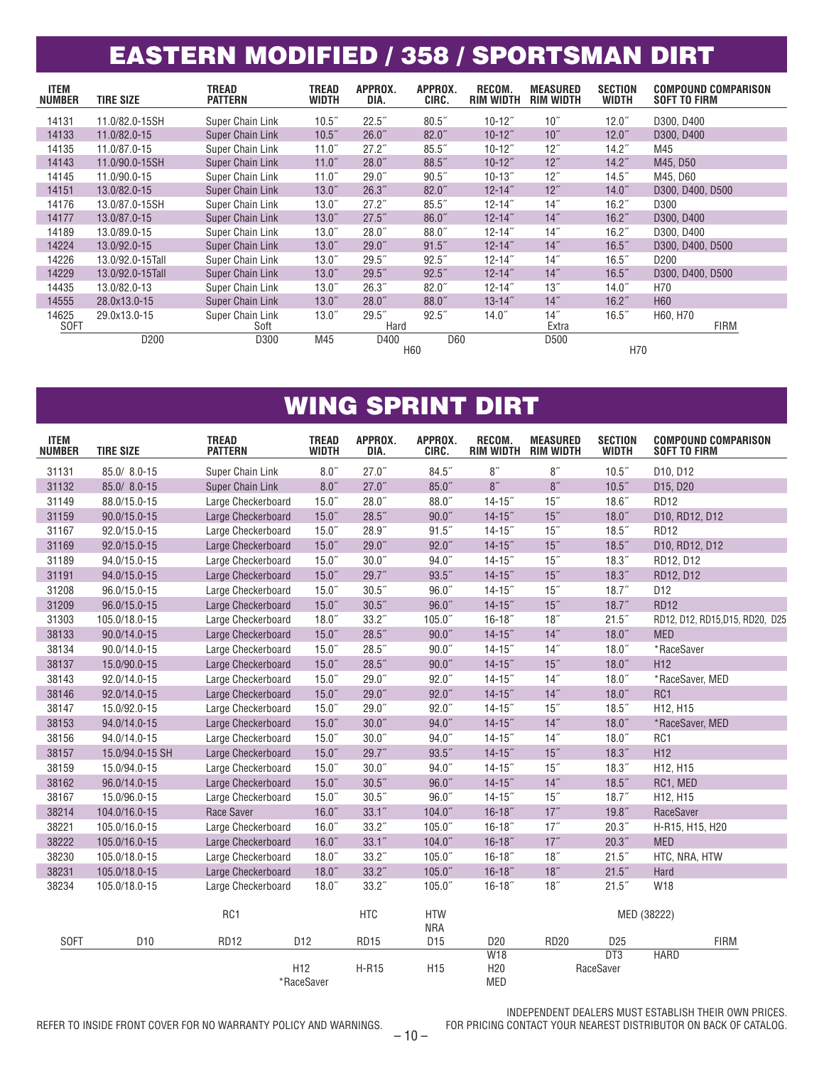### EASTERN MODIFIED / 358 / SPORTSMAN DIRT

| <b>ITEM</b><br><b>NUMBER</b> | <b>TIRE SIZE</b> | <b>TREAD</b><br><b>PATTERN</b> | TREAD<br><b>WIDTH</b> | APPROX.<br>DIA.         | APPROX.<br>CIRC. | RECOM.<br><b>RIM WIDTH</b> | <b>MEASURED</b><br><b>RIM WIDTH</b> | <b>SECTION</b><br><b>WIDTH</b> | <b>COMPOUND COMPARISON</b><br><b>SOFT TO FIRM</b> |
|------------------------------|------------------|--------------------------------|-----------------------|-------------------------|------------------|----------------------------|-------------------------------------|--------------------------------|---------------------------------------------------|
| 14131                        | 11.0/82.0-15SH   | Super Chain Link               | 10.5"                 | 22.5"                   | $80.5$ "         | $10 - 12$ "                | 10"                                 | 12.0 <sup>''</sup>             | D300, D400                                        |
| 14133                        | 11.0/82.0-15     | <b>Super Chain Link</b>        | 10.5 <sup>''</sup>    | 26.0"                   | $82.0$ "         | $10 - 12$ "                | 10''                                | $12.0$ "                       | D300, D400                                        |
| 14135                        | 11.0/87.0-15     | Super Chain Link               | 11.0"                 | 27.2"                   | 85.5''           | $10 - 12$ "                | 12"                                 | $14.2^{''}$                    | M45                                               |
| 14143                        | 11.0/90.0-15SH   | <b>Super Chain Link</b>        | 11.0"                 | $28.0$ "                | 88.5"            | $10 - 12$ "                | 12"                                 | $14.2$ "                       | M45, D50                                          |
| 14145                        | 11.0/90.0-15     | Super Chain Link               | 11.0 <sup>''</sup>    | 29.0"                   | 90.5"            | $10 - 13$ "                | 12"                                 | $14.5$ "                       | M45, D60                                          |
| 14151                        | 13.0/82.0-15     | <b>Super Chain Link</b>        | 13.0 <sup>''</sup>    | 26.3"                   | $82.0$ "         | $12 - 14$ "                | 12"                                 | $14.0$ "                       | D300, D400, D500                                  |
| 14176                        | 13.0/87.0-15SH   | Super Chain Link               | 13.0 <sup>''</sup>    | 27.2"                   | 85.5''           | $12 - 14$ "                | 14"                                 | 16.2 <sup>7</sup>              | D300                                              |
| 14177                        | 13.0/87.0-15     | <b>Super Chain Link</b>        | 13.0 <sup>''</sup>    | 27.5"                   | 86.0"            | $12 - 14$ "                | 14"                                 | 16.2 <sup>''</sup>             | D300, D400                                        |
| 14189                        | 13.0/89.0-15     | Super Chain Link               | 13.0 <sup>''</sup>    | $28.0$ "                | $88.0$ "         | $12 - 14"$                 | 14"                                 | 16.2 <sup>7</sup>              | D300, D400                                        |
| 14224                        | 13.0/92.0-15     | <b>Super Chain Link</b>        | 13.0 <sup>''</sup>    | $29.0$ "                | 91.5"            | $12 - 14$ "                | 14"                                 | 16.5''                         | D300, D400, D500                                  |
| 14226                        | 13.0/92.0-15Tall | Super Chain Link               | 13.0 <sup>''</sup>    | $29.5$ "                | $92.5$ "         | $12 - 14$ "                | 14"                                 | 16.5"                          | D <sub>200</sub>                                  |
| 14229                        | 13.0/92.0-15Tall | <b>Super Chain Link</b>        | 13.0 <sup>''</sup>    | $29.5$ "                | 92.5''           | $12 - 14$ "                | 14"                                 | 16.5''                         | D300, D400, D500                                  |
| 14435                        | 13.0/82.0-13     | Super Chain Link               | 13.0 <sup>''</sup>    | 26.3"                   | $82.0$ "         | $12 - 14$ "                | 13"                                 | 14.0"                          | H70                                               |
| 14555                        | 28.0x13.0-15     | <b>Super Chain Link</b>        | 13.0 <sup>''</sup>    | $28.0$ "                | $88.0^{''}$      | $13 - 14$ "                | 14"                                 | 16.2 <sup>7</sup>              | H <sub>60</sub>                                   |
| 14625<br><b>SOFT</b>         | 29.0x13.0-15     | Super Chain Link<br>Soft       | 13.0 <sup>''</sup>    | 29.5"<br>Hard           | $92.5$ "         | $14.0$ "                   | 14"<br>Extra                        | 16.5 <sup>''</sup>             | H60, H70<br><b>FIRM</b>                           |
|                              | D <sub>200</sub> | D300                           | M45                   | D400<br>H <sub>60</sub> | D60              |                            | D500                                | H70                            |                                                   |

#### WING SPRINT DIRT

| <b>ITEM</b><br><b>NUMBER</b> | <b>TIRE SIZE</b> | <b>TREAD</b><br><b>PATTERN</b> | <b>TREAD</b><br><b>WIDTH</b>  | APPROX.<br>DIA.    | APPROX.<br>CIRC.         | RECOM.<br><b>RIM WIDTH</b>                  | <b>MEASURED</b><br>RIM WIDTH | <b>SECTION</b><br><b>WIDTH</b> | <b>COMPOUND COMPARISON</b><br>SOFT TO FIRM |
|------------------------------|------------------|--------------------------------|-------------------------------|--------------------|--------------------------|---------------------------------------------|------------------------------|--------------------------------|--------------------------------------------|
| 31131                        | 85.0/ 8.0-15     | Super Chain Link               | 8.0''                         | 27.0"              | 84.5''                   | 8''                                         | 8''                          | 10.5''                         | D10, D12                                   |
| 31132                        | 85.0/ 8.0-15     | <b>Super Chain Link</b>        | 8.0''                         | 27.0"              | 85.0''                   | 8''                                         | 8''                          | 10.5"                          | D15, D20                                   |
| 31149                        | 88.0/15.0-15     | Large Checkerboard             | $15.0$ "                      | $28.0$ "           | $88.0$ "                 | $14 - 15$                                   | $15$ "                       | 18.6 <sup>''</sup>             | <b>RD12</b>                                |
| 31159                        | 90.0/15.0-15     | Large Checkerboard             | 15.0''                        | $28.5$ "           | 90.0"                    | $14 - 15$ "                                 | 15"                          | 18.0''                         | D10, RD12, D12                             |
| 31167                        | 92.0/15.0-15     | Large Checkerboard             | $15.0$ "                      | 28.9''             | 91.5"                    | $14 - 15$ "                                 | $15$ "                       | $18.5^{''}$                    | <b>RD12</b>                                |
| 31169                        | 92.0/15.0-15     | Large Checkerboard             | 15.0''                        | 29.0"              | 92.0"                    | $14 - 15$ "                                 | 15"                          | 18.5''                         | D10, RD12, D12                             |
| 31189                        | 94.0/15.0-15     | Large Checkerboard             | $15.0$ "                      | 30.0 <sup>''</sup> | 94.0"                    | $14 - 15$ "                                 | $15$ "                       | 18.3''                         | RD12, D12                                  |
| 31191                        | 94.0/15.0-15     | Large Checkerboard             | 15.0''                        | 29.7''             | 93.5''                   | $14 - 15$ "                                 | 15"                          | 18.3''                         | RD12, D12                                  |
| 31208                        | 96.0/15.0-15     | Large Checkerboard             | $15.0$ "                      | 30.5''             | 96.0"                    | $14 - 15$                                   | 15"                          | 18.7''                         | D <sub>12</sub>                            |
| 31209                        | 96.0/15.0-15     | Large Checkerboard             | 15.0''                        | 30.5"              | 96.0"                    | $14 - 15$ "                                 | 15"                          | 18.7''                         | <b>RD12</b>                                |
| 31303                        | 105.0/18.0-15    | Large Checkerboard             | $18.0$ "                      | 33.2 <sup>7</sup>  | 105.0 <sup>7</sup>       | $16 - 18$                                   | 18"                          | 21.5"                          | RD12, D12, RD15, D15, RD20, D25            |
| 38133                        | 90.0/14.0-15     | Large Checkerboard             | 15.0''                        | $28.5$ "           | 90.0"                    | $14 - 15$ "                                 | 14"                          | 18.0''                         | <b>MED</b>                                 |
| 38134                        | 90.0/14.0-15     | Large Checkerboard             | $15.0^{''}$                   | $28.5$ "           | $90.0$ "                 | $14 - 15$ "                                 | 14"                          | 18.0 <sup>''</sup>             | *RaceSaver                                 |
| 38137                        | 15.0/90.0-15     | Large Checkerboard             | 15.0''                        | $28.5$ "           | 90.0"                    | $14 - 15$ "                                 | 15"                          | 18.0''                         | H <sub>12</sub>                            |
| 38143                        | 92.0/14.0-15     | Large Checkerboard             | $15.0^{''}$                   | $29.0$ "           | $92.0$ "                 | $14 - 15$ "                                 | 14"                          | 18.0''                         | *RaceSaver, MED                            |
| 38146                        | 92.0/14.0-15     | Large Checkerboard             | 15.0''                        | $29.0$ "           | $92.0$ "                 | $14 - 15$ "                                 | 14"                          | 18.0''                         | R <sub>C</sub> 1                           |
| 38147                        | 15.0/92.0-15     | Large Checkerboard             | $15.0$ "                      | $29.0$ "           | $92.0$ "                 | $14 - 15$ "                                 | $15$ "                       | 18.5''                         | H12, H15                                   |
| 38153                        | 94.0/14.0-15     | Large Checkerboard             | 15.0''                        | 30.0"              | 94.0''                   | $14 - 15$ "                                 | 14"                          | 18.0''                         | *RaceSaver, MED                            |
| 38156                        | 94.0/14.0-15     | Large Checkerboard             | $15.0$ "                      | 30.0 <sup>''</sup> | 94.0''                   | $14 - 15$ "                                 | 14"                          | $18.0^{''}$                    | R <sub>C</sub> 1                           |
| 38157                        | 15.0/94.0-15 SH  | Large Checkerboard             | 15.0''                        | 29.7''             | 93.5''                   | $14 - 15$ "                                 | 15"                          | 18.3''                         | H <sub>12</sub>                            |
| 38159                        | 15.0/94.0-15     | Large Checkerboard             | $15.0^{''}$                   | 30.0 <sup>7</sup>  | $94.0$ "                 | $14 - 15$ "                                 | $15$ "                       | 18.3''                         | H <sub>12</sub> , H <sub>15</sub>          |
| 38162                        | 96.0/14.0-15     | Large Checkerboard             | 15.0''                        | 30.5''             | 96.0"                    | $14 - 15$                                   | 14"                          | 18.5''                         | RC1, MED                                   |
| 38167                        | 15.0/96.0-15     | Large Checkerboard             | $15.0$ "                      | 30.5 <sup>''</sup> | $96.0$ "                 | $14 - 15$ "                                 | $15$ "                       | $18.7^{''}$                    | H12, H15                                   |
| 38214                        | 104.0/16.0-15    | Race Saver                     | 16.0"                         | 33.1''             | 104.0 <sup>''</sup>      | $16 - 18$                                   | 17''                         | 19.8''                         | RaceSaver                                  |
| 38221                        | 105.0/16.0-15    | Large Checkerboard             | $16.0$ "                      | 33.2''             | $105.0$ "                | $16 - 18$                                   | 17''                         | 20.3"                          | H-R15, H15, H20                            |
| 38222                        | 105.0/16.0-15    | Large Checkerboard             | 16.0 <sup>''</sup>            | 33.1''             | 104.0 <sup>''</sup>      | $16 - 18$                                   | 17''                         | 20.3"                          | <b>MED</b>                                 |
| 38230                        | 105.0/18.0-15    | Large Checkerboard             | $18.0$ "                      | 33.2''             | 105.0 <sup>7</sup>       | $16 - 18$                                   | 18"                          | 21.5"                          | HTC, NRA, HTW                              |
| 38231                        | 105.0/18.0-15    | Large Checkerboard             | 18.0''                        | 33.2''             | $105.0$ "                | $16 - 18$                                   | 18"                          | 21.5''                         | Hard                                       |
| 38234                        | 105.0/18.0-15    | Large Checkerboard             | 18.0 <sup>''</sup>            | 33.2 <sup>7</sup>  | 105.0 <sup>7</sup>       | $16 - 18$                                   | 18"                          | 21.5"                          | W18                                        |
|                              |                  | RC1                            |                               | <b>HTC</b>         | <b>HTW</b><br><b>NRA</b> |                                             |                              |                                | MED (38222)                                |
| <b>SOFT</b>                  | D <sub>10</sub>  | <b>RD12</b>                    | D <sub>12</sub>               | <b>RD15</b>        | D <sub>15</sub>          | D <sub>20</sub>                             | <b>RD20</b>                  | D <sub>25</sub>                | <b>FIRM</b>                                |
|                              |                  |                                | H <sub>12</sub><br>*RaceSaver | <b>H-R15</b>       | H <sub>15</sub>          | <b>W18</b><br>H <sub>20</sub><br><b>MED</b> |                              | DT3<br>RaceSaver               | <b>HARD</b>                                |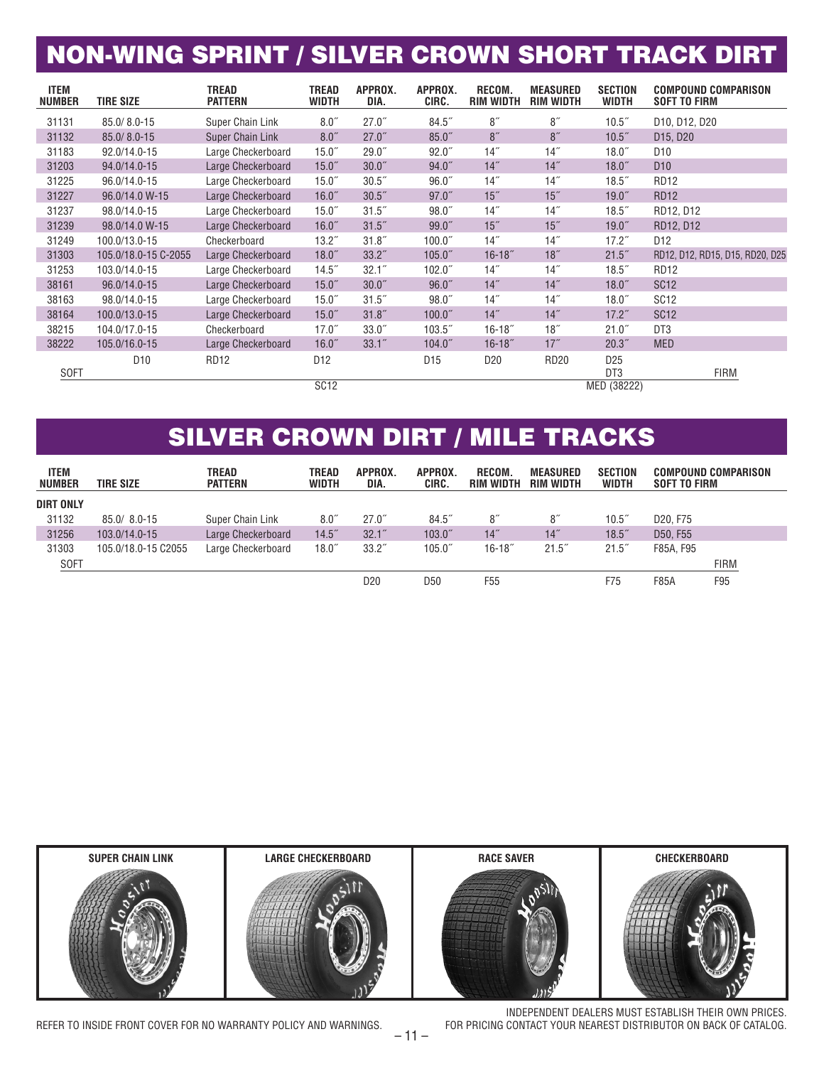## NON-WING SPRINT / SILVER CROWN SHORT TRACK DIRT

| <b>ITEM</b><br><b>NUMBER</b> | <b>TIRE SIZE</b>     | TREAD<br>PATTERN        | <b>TREAD</b><br><b>WIDTH</b> | APPROX.<br>DIA.    | APPROX.<br>CIRC.    | RECOM.<br><b>RIM WIDTH</b> | <b>MEASURED</b><br><b>RIM WIDTH</b> | <b>SECTION</b><br><b>WIDTH</b> | <b>COMPOUND COMPARISON</b><br><b>SOFT TO FIRM</b> |
|------------------------------|----------------------|-------------------------|------------------------------|--------------------|---------------------|----------------------------|-------------------------------------|--------------------------------|---------------------------------------------------|
| 31131                        | 85.0/8.0-15          | Super Chain Link        | 8.0''                        | 27.0"              | 84.5"               | 8''                        | 8''                                 | 10.5"                          | D10, D12, D20                                     |
| 31132                        | 85.0/8.0-15          | <b>Super Chain Link</b> | 8.0''                        | 27.0"              | $85.0$ "            | 8"                         | 8''                                 | 10.5"                          | D15, D20                                          |
| 31183                        | 92.0/14.0-15         | Large Checkerboard      | $15.0$ "                     | 29.0"              | $92.0$ "            | 14"                        | 14"                                 | $18.0$ "                       | D <sub>10</sub>                                   |
| 31203                        | 94.0/14.0-15         | Large Checkerboard      | 15.0 <sup>''</sup>           | 30.0 <sup>''</sup> | 94.0"               | 14"                        | 14"                                 | $18.0$ "                       | D <sub>10</sub>                                   |
| 31225                        | 96.0/14.0-15         | Large Checkerboard      | $15.0$ "                     | 30.5"              | $96.0$ "            | 14"                        | 14"                                 | $18.5$ "                       | <b>RD12</b>                                       |
| 31227                        | 96.0/14.0 W-15       | Large Checkerboard      | 16.0"                        | 30.5"              | $97.0$ "            | $15$ "                     | $15$ "                              | $19.0$ "                       | <b>RD12</b>                                       |
| 31237                        | 98.0/14.0-15         | Large Checkerboard      | $15.0$ "                     | 31.5"              | $98.0$ "            | 14"                        | 14"                                 | $18.5$ "                       | RD12, D12                                         |
| 31239                        | 98.0/14.0 W-15       | Large Checkerboard      | 16.0"                        | 31.5"              | $99.0$ "            | 15"                        | 15"                                 | $19.0$ "                       | RD12, D12                                         |
| 31249                        | 100.0/13.0-15        | Checkerboard            | 13.2 <sup>''</sup>           | 31.8''             | 100.0 <sup>''</sup> | 14"                        | 14"                                 | $17.2^{''}$                    | D <sub>12</sub>                                   |
| 31303                        | 105.0/18.0-15 C-2055 | Large Checkerboard      | 18.0 <sup>''</sup>           | 33.2''             | 105.0 <sup>7</sup>  | $16 - 18$                  | 18"                                 | 21.5"                          | RD12, D12, RD15, D15, RD20, D25                   |
| 31253                        | 103.0/14.0-15        | Large Checkerboard      | $14.5$ "                     | 32.1 <sup>7</sup>  | 102.0 <sup>''</sup> | 14"                        | 14"                                 | $18.5$ "                       | <b>RD12</b>                                       |
| 38161                        | 96.0/14.0-15         | Large Checkerboard      | 15.0 <sup>''</sup>           | 30.0"              | 96.0"               | 14"                        | 14"                                 | $18.0$ "                       | <b>SC12</b>                                       |
| 38163                        | 98.0/14.0-15         | Large Checkerboard      | $15.0^{''}$                  | 31.5''             | $98.0^{''}$         | 14"                        | 14"                                 | $18.0^{''}$                    | <b>SC12</b>                                       |
| 38164                        | 100.0/13.0-15        | Large Checkerboard      | $15.0$ "                     | 31.8''             | 100.0 <sup>''</sup> | 14"                        | 14"                                 | $17.2$ "                       | <b>SC12</b>                                       |
| 38215                        | 104.0/17.0-15        | Checkerboard            | $17.0$ "                     | 33.0 <sup>''</sup> | 103.5 <sup>''</sup> | $16 - 18$                  | 18"                                 | 21.0"                          | DT <sub>3</sub>                                   |
| 38222                        | 105.0/16.0-15        | Large Checkerboard      | 16.0"                        | 33.1''             | 104.0 <sup>''</sup> | $16 - 18$                  | 17"                                 | 20.3"                          | <b>MED</b>                                        |
|                              | D <sub>10</sub>      | <b>RD12</b>             | D <sub>12</sub>              |                    | D <sub>15</sub>     | D <sub>20</sub>            | <b>RD20</b>                         | D <sub>25</sub>                |                                                   |
| <b>SOFT</b>                  |                      |                         |                              |                    |                     |                            |                                     | DT <sub>3</sub>                | <b>FIRM</b>                                       |
|                              |                      |                         | <b>SC12</b>                  |                    |                     |                            |                                     | MED (38222)                    |                                                   |

## SILVER CROWN DIRT / MILE TRACKS

| <b>ITEM</b><br><b>NUMBER</b> | <b>TIRE SIZE</b>    | TREAD<br><b>PATTERN</b> | TREAD<br>WIDTH | APPROX.<br>DIA.   | APPROX.<br>CIRC.    | RECOM.<br>RIM WIDTH | MEASURED<br>RIM WIDTH | <b>SECTION</b><br><b>WIDTH</b> | SOFT TO FIRM                      | <b>COMPOUND COMPARISON</b> |
|------------------------------|---------------------|-------------------------|----------------|-------------------|---------------------|---------------------|-----------------------|--------------------------------|-----------------------------------|----------------------------|
| <b>DIRT ONLY</b>             |                     |                         |                |                   |                     |                     |                       |                                |                                   |                            |
| 31132                        | $85.0/8.0 - 15$     | Super Chain Link        | $8.0^{''}$     | 27.0"             | $84.5^{''}$         | $8^{\prime\prime}$  | 8″                    | 10.5 <sup>''</sup>             | D <sub>20</sub> . F <sub>75</sub> |                            |
| 31256                        | 103.0/14.0-15       | Large Checkerboard      | 14.5''         | 32.1''            | 103.0 <sup>''</sup> | 14"                 | 14"                   | 18.5''                         | D50, F55                          |                            |
| 31303                        | 105.0/18.0-15 C2055 | Large Checkerboard      | $18.0^{''}$    | 33.2 <sup>7</sup> | 105.0 <sup>''</sup> | $16 - 18$           | $21.5^{''}$           | 21.5''                         | F85A, F95                         |                            |
| <b>SOFT</b>                  |                     |                         |                |                   |                     |                     |                       |                                |                                   | <b>FIRM</b>                |
|                              |                     |                         |                | D20               | D50                 | F <sub>55</sub>     |                       | F75                            | F85A                              | F95                        |



INDEPENDENT DEALERS MUST ESTABLISH THEIR OWN PRICES.